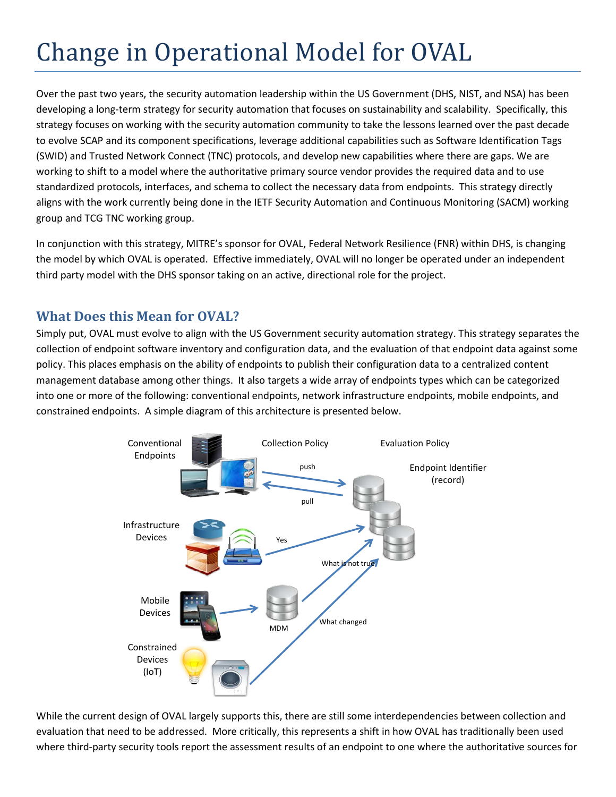# Change in Operational Model for OVAL

Over the past two years, the security automation leadership within the US Government (DHS, NIST, and NSA) has been developing a long-term strategy for security automation that focuses on sustainability and scalability. Specifically, this strategy focuses on working with the security automation community to take the lessons learned over the past decade to evolve SCAP and its component specifications, leverage additional capabilities such as Software Identification Tags (SWID) and Trusted Network Connect (TNC) protocols, and develop new capabilities where there are gaps. We are working to shift to a model where the authoritative primary source vendor provides the required data and to use standardized protocols, interfaces, and schema to collect the necessary data from endpoints. This strategy directly aligns with the work currently being done in the IETF Security Automation and Continuous Monitoring (SACM) working group and TCG TNC working group.

In conjunction with this strategy, MITRE's sponsor for OVAL, Federal Network Resilience (FNR) within DHS, is changing the model by which OVAL is operated. Effective immediately, OVAL will no longer be operated under an independent third party model with the DHS sponsor taking on an active, directional role for the project.

## **What Does this Mean for OVAL?**

Simply put, OVAL must evolve to align with the US Government security automation strategy. This strategy separates the collection of endpoint software inventory and configuration data, and the evaluation of that endpoint data against some policy. This places emphasis on the ability of endpoints to publish their configuration data to a centralized content management database among other things. It also targets a wide array of endpoints types which can be categorized into one or more of the following: conventional endpoints, network infrastructure endpoints, mobile endpoints, and constrained endpoints. A simple diagram of this architecture is presented below.



While the current design of OVAL largely supports this, there are still some interdependencies between collection and evaluation that need to be addressed. More critically, this represents a shift in how OVAL has traditionally been used where third-party security tools report the assessment results of an endpoint to one where the authoritative sources for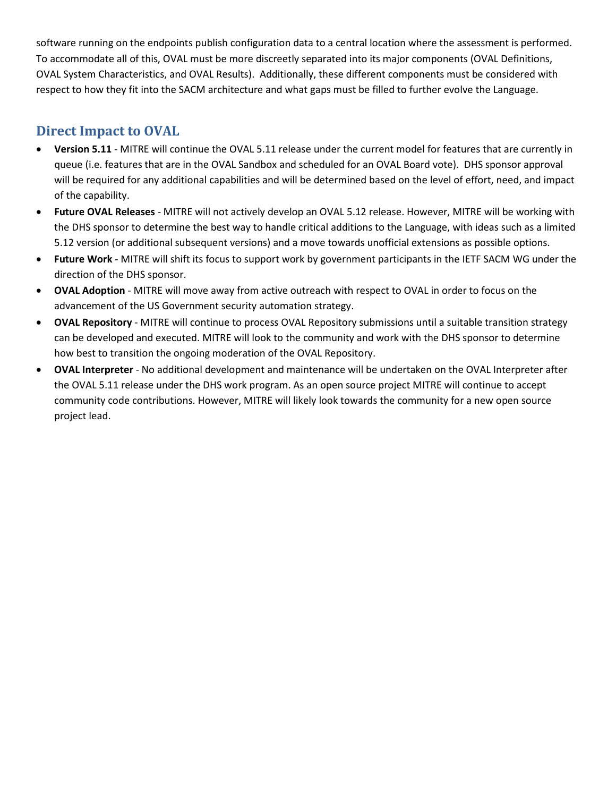software running on the endpoints publish configuration data to a central location where the assessment is performed. To accommodate all of this, OVAL must be more discreetly separated into its major components (OVAL Definitions, OVAL System Characteristics, and OVAL Results). Additionally, these different components must be considered with respect to how they fit into the SACM architecture and what gaps must be filled to further evolve the Language.

## **Direct Impact to OVAL**

- **Version 5.11** MITRE will continue the OVAL 5.11 release under the current model for features that are currently in queue (i.e. features that are in the OVAL Sandbox and scheduled for an OVAL Board vote). DHS sponsor approval will be required for any additional capabilities and will be determined based on the level of effort, need, and impact of the capability.
- **Future OVAL Releases** MITRE will not actively develop an OVAL 5.12 release. However, MITRE will be working with the DHS sponsor to determine the best way to handle critical additions to the Language, with ideas such as a limited 5.12 version (or additional subsequent versions) and a move towards unofficial extensions as possible options.
- **Future Work** MITRE will shift its focus to support work by government participants in the IETF SACM WG under the direction of the DHS sponsor.
- **OVAL Adoption** MITRE will move away from active outreach with respect to OVAL in order to focus on the advancement of the US Government security automation strategy.
- **OVAL Repository** MITRE will continue to process OVAL Repository submissions until a suitable transition strategy can be developed and executed. MITRE will look to the community and work with the DHS sponsor to determine how best to transition the ongoing moderation of the OVAL Repository.
- **OVAL Interpreter** No additional development and maintenance will be undertaken on the OVAL Interpreter after the OVAL 5.11 release under the DHS work program. As an open source project MITRE will continue to accept community code contributions. However, MITRE will likely look towards the community for a new open source project lead.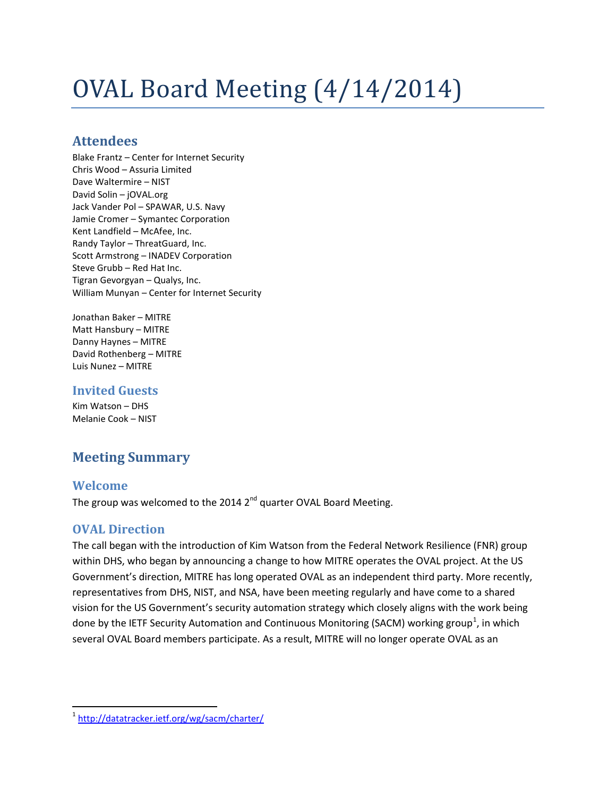# OVAL Board Meeting (4/14/2014)

## **Attendees**

Blake Frantz – Center for Internet Security Chris Wood – Assuria Limited Dave Waltermire – NIST David Solin – jOVAL.org Jack Vander Pol – SPAWAR, U.S. Navy Jamie Cromer – Symantec Corporation Kent Landfield – McAfee, Inc. Randy Taylor – ThreatGuard, Inc. Scott Armstrong – INADEV Corporation Steve Grubb – Red Hat Inc. Tigran Gevorgyan – Qualys, Inc. William Munyan – Center for Internet Security

Jonathan Baker – MITRE Matt Hansbury – MITRE Danny Haynes – MITRE David Rothenberg – MITRE Luis Nunez – MITRE

#### **Invited Guests**

Kim Watson – DHS Melanie Cook – NIST

## **Meeting Summary**

### **Welcome**

The group was welcomed to the 2014  $2^{nd}$  quarter OVAL Board Meeting.

#### **OVAL Direction**

The call began with the introduction of Kim Watson from the Federal Network Resilience (FNR) group within DHS, who began by announcing a change to how MITRE operates the OVAL project. At the US Government's direction, MITRE has long operated OVAL as an independent third party. More recently, representatives from DHS, NIST, and NSA, have been meeting regularly and have come to a shared vision for the US Government's security automation strategy which closely aligns with the work being done by the IETF Security Automation and Continuous Monitoring (SACM) working group<sup>[1](#page-2-0)</sup>, in which several OVAL Board members participate. As a result, MITRE will no longer operate OVAL as an

<span id="page-2-0"></span><sup>&</sup>lt;sup>1</sup> <http://datatracker.ietf.org/wg/sacm/charter/>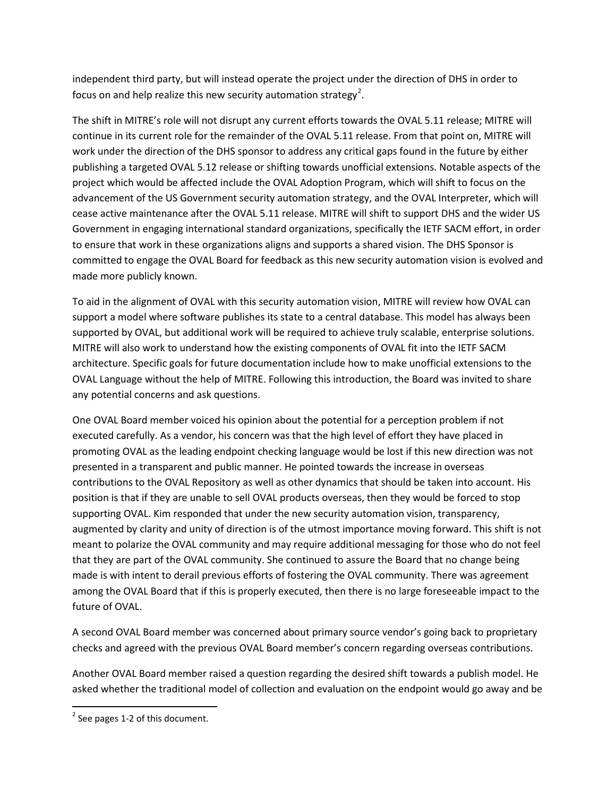independent third party, but will instead operate the project under the direction of DHS in order to focus on and help realize this new security automation strategy<sup>[2](#page-3-0)</sup>.

The shift in MITRE's role will not disrupt any current efforts towards the OVAL 5.11 release; MITRE will continue in its current role for the remainder of the OVAL 5.11 release. From that point on, MITRE will work under the direction of the DHS sponsor to address any critical gaps found in the future by either publishing a targeted OVAL 5.12 release or shifting towards unofficial extensions. Notable aspects of the project which would be affected include the OVAL Adoption Program, which will shift to focus on the advancement of the US Government security automation strategy, and the OVAL Interpreter, which will cease active maintenance after the OVAL 5.11 release. MITRE will shift to support DHS and the wider US Government in engaging international standard organizations, specifically the IETF SACM effort, in order to ensure that work in these organizations aligns and supports a shared vision. The DHS Sponsor is committed to engage the OVAL Board for feedback as this new security automation vision is evolved and made more publicly known.

To aid in the alignment of OVAL with this security automation vision, MITRE will review how OVAL can support a model where software publishes its state to a central database. This model has always been supported by OVAL, but additional work will be required to achieve truly scalable, enterprise solutions. MITRE will also work to understand how the existing components of OVAL fit into the IETF SACM architecture. Specific goals for future documentation include how to make unofficial extensions to the OVAL Language without the help of MITRE. Following this introduction, the Board was invited to share any potential concerns and ask questions.

One OVAL Board member voiced his opinion about the potential for a perception problem if not executed carefully. As a vendor, his concern was that the high level of effort they have placed in promoting OVAL as the leading endpoint checking language would be lost if this new direction was not presented in a transparent and public manner. He pointed towards the increase in overseas contributions to the OVAL Repository as well as other dynamics that should be taken into account. His position is that if they are unable to sell OVAL products overseas, then they would be forced to stop supporting OVAL. Kim responded that under the new security automation vision, transparency, augmented by clarity and unity of direction is of the utmost importance moving forward. This shift is not meant to polarize the OVAL community and may require additional messaging for those who do not feel that they are part of the OVAL community. She continued to assure the Board that no change being made is with intent to derail previous efforts of fostering the OVAL community. There was agreement among the OVAL Board that if this is properly executed, then there is no large foreseeable impact to the future of OVAL.

A second OVAL Board member was concerned about primary source vendor's going back to proprietary checks and agreed with the previous OVAL Board member's concern regarding overseas contributions.

Another OVAL Board member raised a question regarding the desired shift towards a publish model. He asked whether the traditional model of collection and evaluation on the endpoint would go away and be

<span id="page-3-0"></span> $2$  [See](https://oval.mitre.org/community/archives/boardminutes/20140414_readahead.pdf) pages 1-2 of this document.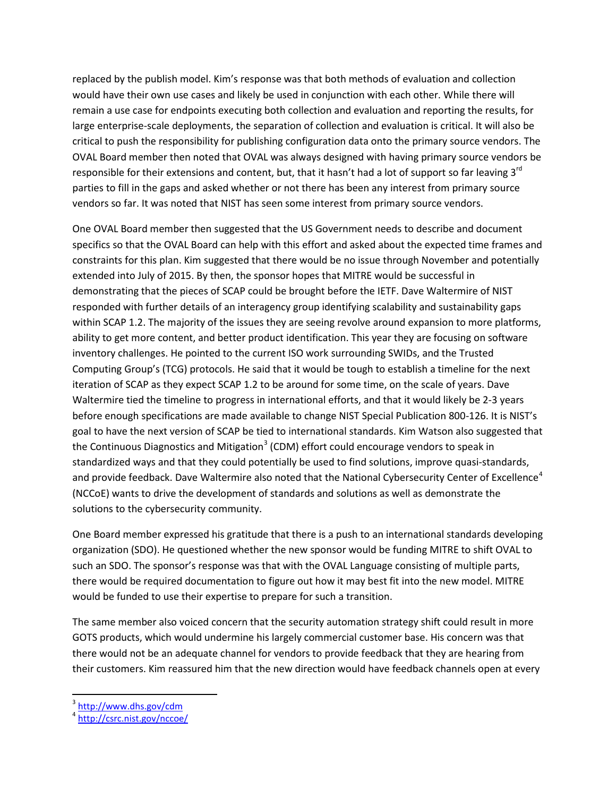replaced by the publish model. Kim's response was that both methods of evaluation and collection would have their own use cases and likely be used in conjunction with each other. While there will remain a use case for endpoints executing both collection and evaluation and reporting the results, for large enterprise-scale deployments, the separation of collection and evaluation is critical. It will also be critical to push the responsibility for publishing configuration data onto the primary source vendors. The OVAL Board member then noted that OVAL was always designed with having primary source vendors be responsible for their extensions and content, but, that it hasn't had a lot of support so far leaving 3<sup>rd</sup> parties to fill in the gaps and asked whether or not there has been any interest from primary source vendors so far. It was noted that NIST has seen some interest from primary source vendors.

One OVAL Board member then suggested that the US Government needs to describe and document specifics so that the OVAL Board can help with this effort and asked about the expected time frames and constraints for this plan. Kim suggested that there would be no issue through November and potentially extended into July of 2015. By then, the sponsor hopes that MITRE would be successful in demonstrating that the pieces of SCAP could be brought before the IETF. Dave Waltermire of NIST responded with further details of an interagency group identifying scalability and sustainability gaps within SCAP 1.2. The majority of the issues they are seeing revolve around expansion to more platforms, ability to get more content, and better product identification. This year they are focusing on software inventory challenges. He pointed to the current ISO work surrounding SWIDs, and the Trusted Computing Group's (TCG) protocols. He said that it would be tough to establish a timeline for the next iteration of SCAP as they expect SCAP 1.2 to be around for some time, on the scale of years. Dave Waltermire tied the timeline to progress in international efforts, and that it would likely be 2-3 years before enough specifications are made available to change NIST Special Publication 800-126. It is NIST's goal to have the next version of SCAP be tied to international standards. Kim Watson also suggested that the Continuous Diagnostics and Mitigation<sup>[3](#page-4-0)</sup> (CDM) effort could encourage vendors to speak in standardized ways and that they could potentially be used to find solutions, improve quasi-standards, and provide feedback. Dave Waltermire also noted that the National Cybersecurity Center of Excellence<sup>[4](#page-4-1)</sup> (NCCoE) wants to drive the development of standards and solutions as well as demonstrate the solutions to the cybersecurity community.

One Board member expressed his gratitude that there is a push to an international standards developing organization (SDO). He questioned whether the new sponsor would be funding MITRE to shift OVAL to such an SDO. The sponsor's response was that with the OVAL Language consisting of multiple parts, there would be required documentation to figure out how it may best fit into the new model. MITRE would be funded to use their expertise to prepare for such a transition.

The same member also voiced concern that the security automation strategy shift could result in more GOTS products, which would undermine his largely commercial customer base. His concern was that there would not be an adequate channel for vendors to provide feedback that they are hearing from their customers. Kim reassured him that the new direction would have feedback channels open at every

<sup>&</sup>lt;sup>3</sup> <http://www.dhs.gov/cdm>

<span id="page-4-1"></span><span id="page-4-0"></span> $4 \frac{\text{magn.} \cdot \text{magn.}}{\text{http://csrc.nist.gov/nccoe/}}$  $4 \frac{\text{magn.} \cdot \text{magn.}}{\text{http://csrc.nist.gov/nccoe/}}$  $4 \frac{\text{magn.} \cdot \text{magn.}}{\text{http://csrc.nist.gov/nccoe/}}$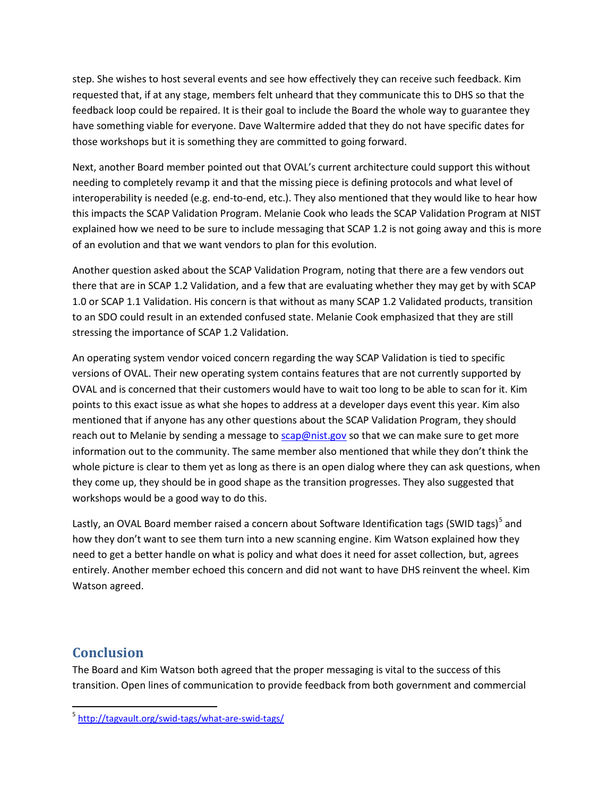step. She wishes to host several events and see how effectively they can receive such feedback. Kim requested that, if at any stage, members felt unheard that they communicate this to DHS so that the feedback loop could be repaired. It is their goal to include the Board the whole way to guarantee they have something viable for everyone. Dave Waltermire added that they do not have specific dates for those workshops but it is something they are committed to going forward.

Next, another Board member pointed out that OVAL's current architecture could support this without needing to completely revamp it and that the missing piece is defining protocols and what level of interoperability is needed (e.g. end-to-end, etc.). They also mentioned that they would like to hear how this impacts the SCAP Validation Program. Melanie Cook who leads the SCAP Validation Program at NIST explained how we need to be sure to include messaging that SCAP 1.2 is not going away and this is more of an evolution and that we want vendors to plan for this evolution.

Another question asked about the SCAP Validation Program, noting that there are a few vendors out there that are in SCAP 1.2 Validation, and a few that are evaluating whether they may get by with SCAP 1.0 or SCAP 1.1 Validation. His concern is that without as many SCAP 1.2 Validated products, transition to an SDO could result in an extended confused state. Melanie Cook emphasized that they are still stressing the importance of SCAP 1.2 Validation.

An operating system vendor voiced concern regarding the way SCAP Validation is tied to specific versions of OVAL. Their new operating system contains features that are not currently supported by OVAL and is concerned that their customers would have to wait too long to be able to scan for it. Kim points to this exact issue as what she hopes to address at a developer days event this year. Kim also mentioned that if anyone has any other questions about the SCAP Validation Program, they should reach out to Melanie by sending a message t[o scap@nist.gov](mailto:scap@nist.gov) so that we can make sure to get more information out to the community. The same member also mentioned that while they don't think the whole picture is clear to them yet as long as there is an open dialog where they can ask questions, when they come up, they should be in good shape as the transition progresses. They also suggested that workshops would be a good way to do this.

Lastly, an OVAL Board member raised a concern about Software Identification tags (SWID tags)<sup>[5](#page-5-0)</sup> and how they don't want to see them turn into a new scanning engine. Kim Watson explained how they need to get a better handle on what is policy and what does it need for asset collection, but, agrees entirely. Another member echoed this concern and did not want to have DHS reinvent the wheel. Kim Watson agreed.

### **Conclusion**

The Board and Kim Watson both agreed that the proper messaging is vital to the success of this transition. Open lines of communication to provide feedback from both government and commercial

<span id="page-5-0"></span> <sup>5</sup> <http://tagvault.org/swid-tags/what-are-swid-tags/>